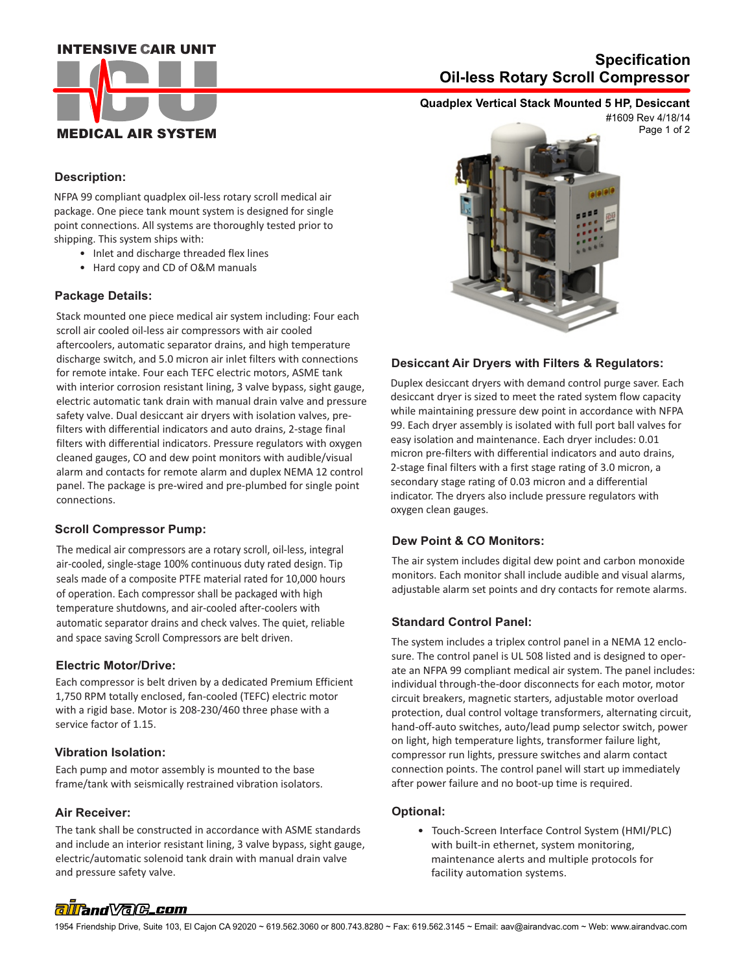# **INTENSIVE CAIR UNIT**



# **Oil-less Rotary Scroll Compressor Specification**

# **Quadplex Vertical Stack Mounted 5 HP, Desiccant**

Page 1 of 2 #1609 Rev 4/18/14

## **Description:**

NFPA 99 compliant quadplex oil-less rotary scroll medical air package. One piece tank mount system is designed for single point connections. All systems are thoroughly tested prior to shipping. This system ships with:

- Inlet and discharge threaded flex lines
- Hard copy and CD of O&M manuals

#### **Package Details:**

Stack mounted one piece medical air system including: Four each scroll air cooled oil-less air compressors with air cooled aftercoolers, automatic separator drains, and high temperature discharge switch, and 5.0 micron air inlet filters with connections for remote intake. Four each TEFC electric motors, ASME tank with interior corrosion resistant lining, 3 valve bypass, sight gauge, electric automatic tank drain with manual drain valve and pressure safety valve. Dual desiccant air dryers with isolation valves, prefilters with differential indicators and auto drains, 2-stage final filters with differential indicators. Pressure regulators with oxygen cleaned gauges, CO and dew point monitors with audible/visual alarm and contacts for remote alarm and duplex NEMA 12 control panel. The package is pre-wired and pre-plumbed for single point connections.

## **Scroll Compressor Pump:**

The medical air compressors are a rotary scroll, oil-less, integral air-cooled, single-stage 100% continuous duty rated design. Tip seals made of a composite PTFE material rated for 10,000 hours of operation. Each compressor shall be packaged with high temperature shutdowns, and air-cooled after-coolers with automatic separator drains and check valves. The quiet, reliable and space saving Scroll Compressors are belt driven.

#### **Electric Motor/Drive:**

Each compressor is belt driven by a dedicated Premium Efficient 1,750 RPM totally enclosed, fan-cooled (TEFC) electric motor with a rigid base. Motor is 208-230/460 three phase with a service factor of 1.15.

#### **Vibration Isolation:**

Each pump and motor assembly is mounted to the base frame/tank with seismically restrained vibration isolators.

#### **Air Receiver:**

 and pressure safety valve. The tank shall be constructed in accordance with ASME standards and include an interior resistant lining, 3 valve bypass, sight gauge, electric/automatic solenoid tank drain with manual drain valve



#### **Desiccant Air Dryers with Filters & Regulators:**

Duplex desiccant dryers with demand control purge saver. Each desiccant dryer is sized to meet the rated system flow capacity while maintaining pressure dew point in accordance with NFPA 99. Each dryer assembly is isolated with full port ball valves for easy isolation and maintenance. Each dryer includes: 0.01 micron pre-filters with differential indicators and auto drains, 2-stage final filters with a first stage rating of 3.0 micron, a secondary stage rating of 0.03 micron and a differential indicator. The dryers also include pressure regulators with oxygen clean gauges.

## **Dew Point & CO Monitors:**

The air system includes digital dew point and carbon monoxide monitors. Each monitor shall include audible and visual alarms, adjustable alarm set points and dry contacts for remote alarms.

## **Standard Control Panel:**

The system includes a triplex control panel in a NEMA 12 enclosure. The control panel is UL 508 listed and is designed to operate an NFPA 99 compliant medical air system. The panel includes: individual through-the-door disconnects for each motor, motor circuit breakers, magnetic starters, adjustable motor overload protection, dual control voltage transformers, alternating circuit, hand-off-auto switches, auto/lead pump selector switch, power on light, high temperature lights, transformer failure light, compressor run lights, pressure switches and alarm contact connection points. The control panel will start up immediately after power failure and no boot-up time is required.

#### **Optional:**

 • Touch-Screen Interface Control System (HMI/PLC) with built-in ethernet, system monitoring, maintenance alerts and multiple protocols for facility automation systems.

# alland Vale\_com

1954 Friendship Drive, Suite 103, El Cajon CA 92020 ~ 619.562.3060 or 800.743.8280 ~ Fax: 619.562.3145 ~ Email: aav@airandvac.com ~ Web: www.airandvac.com